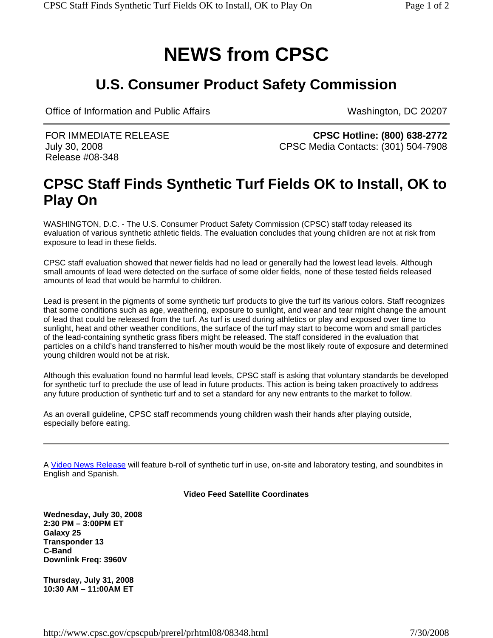## **NEWS from CPSC**

## **U.S. Consumer Product Safety Commission**

Office of Information and Public Affairs Washington, DC 20207

FOR IMMEDIATE RELEASE July 30, 2008 Release #08-348

**CPSC Hotline: (800) 638-2772** CPSC Media Contacts: (301) 504-7908

## **CPSC Staff Finds Synthetic Turf Fields OK to Install, OK to Play On**

WASHINGTON, D.C. - The U.S. Consumer Product Safety Commission (CPSC) staff today released its evaluation of various synthetic athletic fields. The evaluation concludes that young children are not at risk from exposure to lead in these fields.

CPSC staff evaluation showed that newer fields had no lead or generally had the lowest lead levels. Although small amounts of lead were detected on the surface of some older fields, none of these tested fields released amounts of lead that would be harmful to children.

Lead is present in the pigments of some synthetic turf products to give the turf its various colors. Staff recognizes that some conditions such as age, weathering, exposure to sunlight, and wear and tear might change the amount of lead that could be released from the turf. As turf is used during athletics or play and exposed over time to sunlight, heat and other weather conditions, the surface of the turf may start to become worn and small particles of the lead-containing synthetic grass fibers might be released. The staff considered in the evaluation that particles on a child's hand transferred to his/her mouth would be the most likely route of exposure and determined young children would not be at risk.

Although this evaluation found no harmful lead levels, CPSC staff is asking that voluntary standards be developed for synthetic turf to preclude the use of lead in future products. This action is being taken proactively to address any future production of synthetic turf and to set a standard for any new entrants to the market to follow.

As an overall guideline, CPSC staff recommends young children wash their hands after playing outside, especially before eating.

A Video News Release will feature b-roll of synthetic turf in use, on-site and laboratory testing, and soundbites in English and Spanish.

## **Video Feed Satellite Coordinates**

**Wednesday, July 30, 2008 2:30 PM – 3:00PM ET Galaxy 25 Transponder 13 C-Band Downlink Freq: 3960V**

**Thursday, July 31, 2008 10:30 AM – 11:00AM ET**